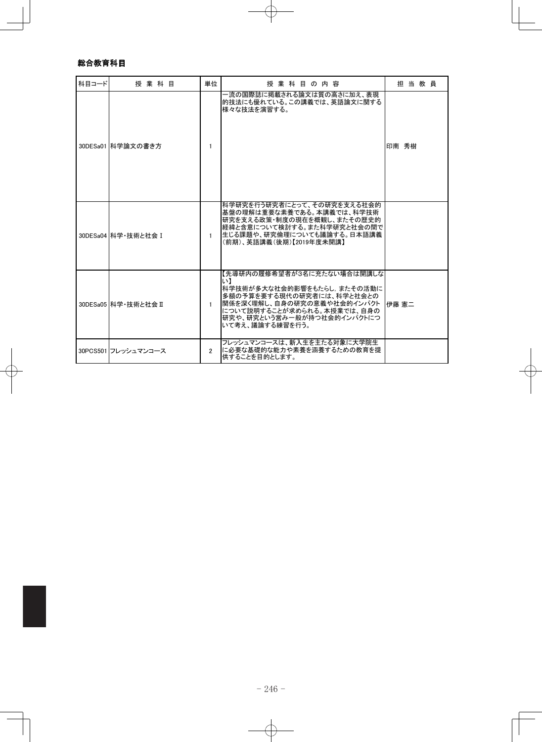## 総合教育科目

| 科目コード | 授業科目                 | 単位             | 授業科目の内容                                                                                                                                                                                                  | 担当教員  |
|-------|----------------------|----------------|----------------------------------------------------------------------------------------------------------------------------------------------------------------------------------------------------------|-------|
|       | 30DESa01 科学論文の書き方    | 1              | –流の国際誌に掲載される論文は質の高さに加え、表現<br>的技法にも優れている。この講義では、英語論文に関する<br>様々な技法を演習する。                                                                                                                                   | 印南 秀樹 |
|       | 30DESa04 科学・技術と社会 I  | $\mathbf{1}$   | 科学研究を行う研究者にとって、その研究を支える社会的<br> 基盤の理解は重要な素養である。本講義では、科学技術 <br>研究を支える政策・制度の現在を概観し、またその歴史的<br> 経緯と含意について検討する。また科学研究と社会の間で<br>生じる課題や、研究倫理についても議論する。日本語講義<br>(前期)、英語講義(後期)【2019年度未開講】                         |       |
|       | 30DESa05 科学·技術と社会 II | $\mathbf{1}$   | 【先導研内の履修希望者が3名に充たない場合は開講しな<br>い】<br>科学技術が多大な社会的影響をもたらし、またその活動に<br>多額の予算を要する現代の研究者には、科学と社会との<br>関係を深く理解し、自身の研究の意義や社会的インパクト<br>について説明することが求められる。本授業では、自身の<br>研究や、研究という営み一般が持つ社会的インパクトにつ<br>いて考え、議論する練習を行う。 | 伊藤 憲二 |
|       | 30PCS501 フレッシュマンコース  | $\mathfrak{p}$ | フレッシュマンコースは、新入生を主たる対象に大学院生<br>に必要な基礎的な能力や素養を涵養するための教育を提<br>供することを目的とします。                                                                                                                                 |       |